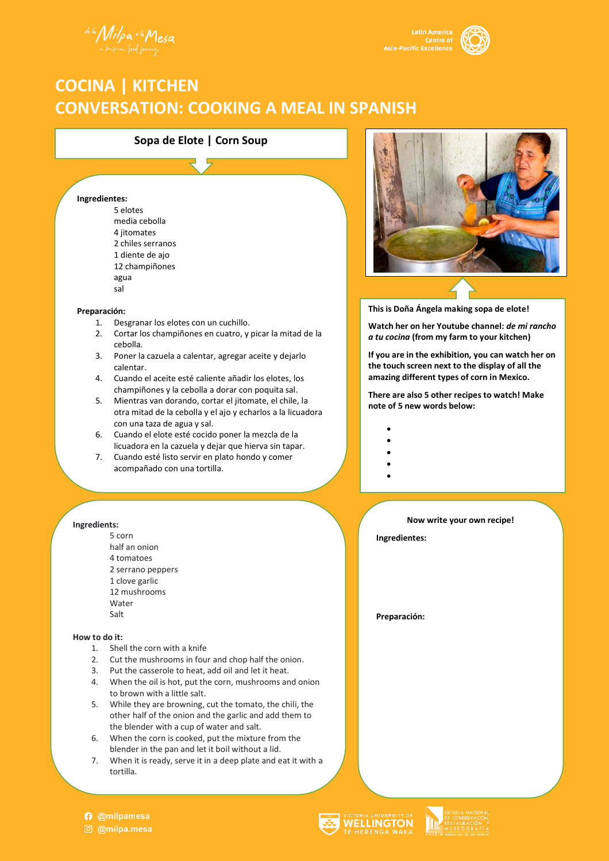de la Milpa a la Mesa



# **COCINA | KITCHEN CONVERSATION: COOKING A MEAL IN SPANISH**

### **Sopa de Elote | Corn Soup**

#### **Ingredientes:**

5 elotes media cebolla 4 jitomates 2 chiles serranos 1 diente de ajo 12 champiñones agua sal

### **Preparación:**

- 1. Desgranar los elotes con un cuchillo.
- 2. Cortar los champiñones en cuatro, y picar la mitad de la cebolla.
- 3. Poner la cazuela a calentar, agregar aceite y dejarlo calentar.
- 4. Cuando el aceite esté caliente añadir los elotes, los champiñones y la cebolla a dorar con poquita sal.
- 5. Mientras van dorando, cortar el jitomate, el chile, la otra mitad de la cebolla y el ajo y echarlos a la licuadora con una taza de agua y sal.
- 6. Cuando el elote esté cocido poner la mezcla de la licuadora en la cazuela y dejar que hierva sin tapar.
- 7. Cuando esté listo servir en plato hondo y comer acompañado con una tortilla.

### **Ingredients:**

5 corn half an onion 4 tomatoes 2 serrano peppers 1 clove garlic 12 mushrooms Water Salt

### **How to do it:**

- 1. Shell the corn with a knife
- 2. Cut the mushrooms in four and chop half the onion.
- 3. Put the casserole to heat, add oil and let it heat.
- 4. When the oil is hot, put the corn, mushrooms and onion to brown with a little salt.
- 5. While they are browning, cut the tomato, the chili, the other half of the onion and the garlic and add them to the blender with a cup of water and salt.
- 6. When the corn is cooked, put the mixture from the blender in the pan and let it boil without a lid.
- 7. When it is ready, serve it in a deep plate and eat it with a tortilla.



**This is Doña Ángela making sopa de elote!**

**Watch her on her Youtube channel:** *de mi rancho a tu cocina* **(from my farm to your kitchen)**

**If you are in the exhibition, you can watch her on the touch screen next to the display of all the amazing different types of corn in Mexico.**

**There are also 5 other recipes to watch! Make note of 5 new words below:**

- •
- •
- •
- •

# **Now write your own recipe!**

**Ingredientes:**

**Preparación:**